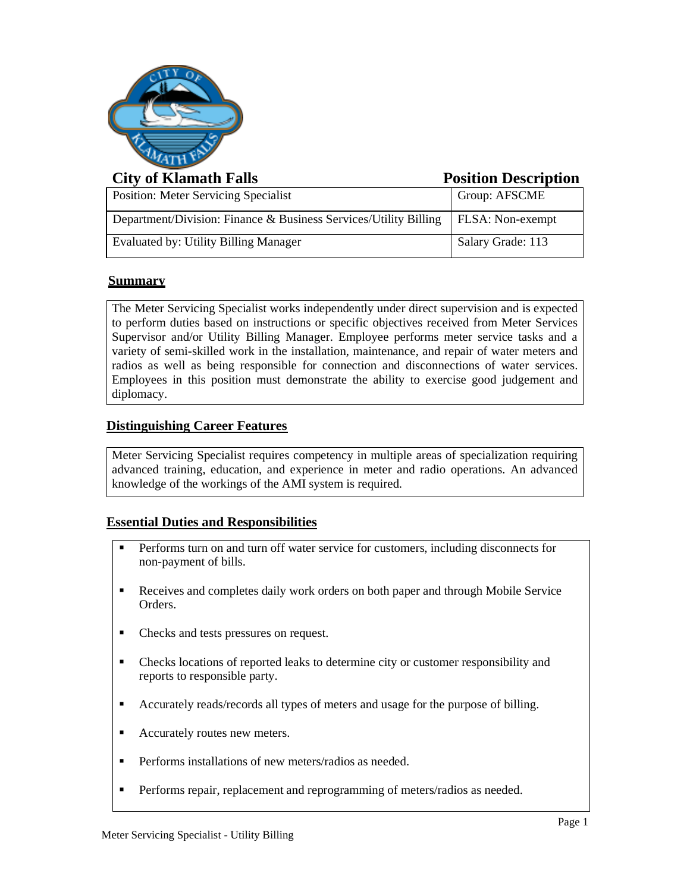

# **City of Klamath Falls Position Description**

| <b>Position: Meter Servicing Specialist</b>                      | Group: AFSCME     |
|------------------------------------------------------------------|-------------------|
| Department/Division: Finance & Business Services/Utility Billing | FLSA: Non-exempt  |
| Evaluated by: Utility Billing Manager                            | Salary Grade: 113 |

# **Summary**

The Meter Servicing Specialist works independently under direct supervision and is expected to perform duties based on instructions or specific objectives received from Meter Services Supervisor and/or Utility Billing Manager. Employee performs meter service tasks and a variety of semi-skilled work in the installation, maintenance, and repair of water meters and radios as well as being responsible for connection and disconnections of water services. Employees in this position must demonstrate the ability to exercise good judgement and diplomacy.

# **Distinguishing Career Features**

Meter Servicing Specialist requires competency in multiple areas of specialization requiring advanced training, education, and experience in meter and radio operations. An advanced knowledge of the workings of the AMI system is required.

### **Essential Duties and Responsibilities**

- **•** Performs turn on and turn off water service for customers, including disconnects for non-payment of bills.
- Receives and completes daily work orders on both paper and through Mobile Service Orders.
- Checks and tests pressures on request.
- Checks locations of reported leaks to determine city or customer responsibility and reports to responsible party.
- Accurately reads/records all types of meters and usage for the purpose of billing.
- Accurately routes new meters.
- Performs installations of new meters/radios as needed.
- Performs repair, replacement and reprogramming of meters/radios as needed.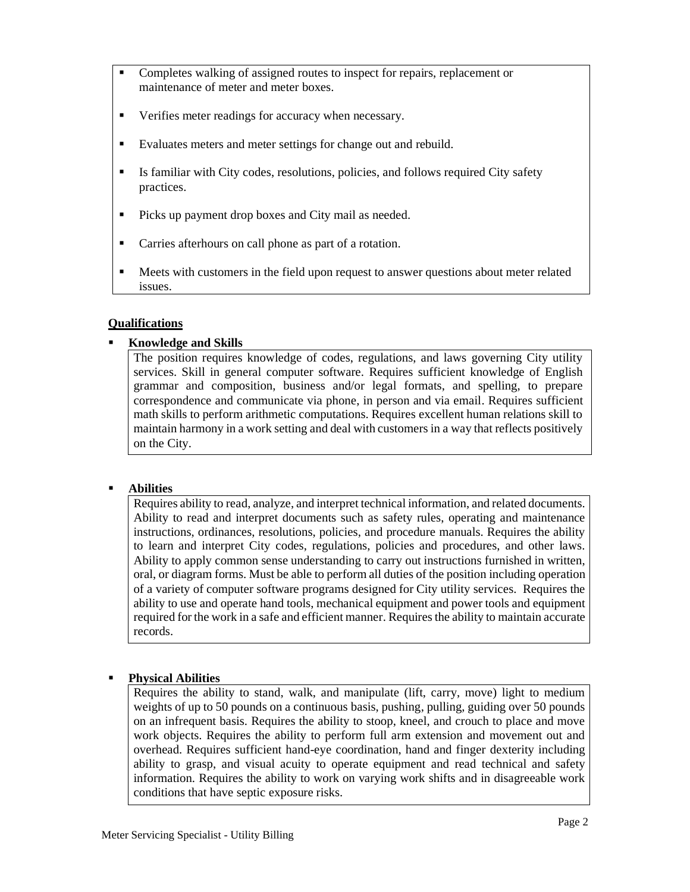- Completes walking of assigned routes to inspect for repairs, replacement or maintenance of meter and meter boxes.
- Verifies meter readings for accuracy when necessary.
- Evaluates meters and meter settings for change out and rebuild.
- **Exercise 1** Is familiar with City codes, resolutions, policies, and follows required City safety practices.
- Picks up payment drop boxes and City mail as needed.
- Carries afterhours on call phone as part of a rotation.
- **EXECUTE:** Meets with customers in the field upon request to answer questions about meter related issues.

#### **Qualifications**

#### ▪ **Knowledge and Skills**

The position requires knowledge of codes, regulations, and laws governing City utility services. Skill in general computer software. Requires sufficient knowledge of English grammar and composition, business and/or legal formats, and spelling, to prepare correspondence and communicate via phone, in person and via email. Requires sufficient math skills to perform arithmetic computations. Requires excellent human relations skill to maintain harmony in a work setting and deal with customers in a way that reflects positively on the City.

#### **Abilities**

Requires ability to read, analyze, and interpret technical information, and related documents. Ability to read and interpret documents such as safety rules, operating and maintenance instructions, ordinances, resolutions, policies, and procedure manuals. Requires the ability to learn and interpret City codes, regulations, policies and procedures, and other laws. Ability to apply common sense understanding to carry out instructions furnished in written, oral, or diagram forms. Must be able to perform all duties of the position including operation of a variety of computer software programs designed for City utility services. Requires the ability to use and operate hand tools, mechanical equipment and power tools and equipment required for the work in a safe and efficient manner. Requires the ability to maintain accurate records.

#### **Physical Abilities**

Requires the ability to stand, walk, and manipulate (lift, carry, move) light to medium weights of up to 50 pounds on a continuous basis, pushing, pulling, guiding over 50 pounds on an infrequent basis. Requires the ability to stoop, kneel, and crouch to place and move work objects. Requires the ability to perform full arm extension and movement out and overhead. Requires sufficient hand-eye coordination, hand and finger dexterity including ability to grasp, and visual acuity to operate equipment and read technical and safety information. Requires the ability to work on varying work shifts and in disagreeable work conditions that have septic exposure risks.